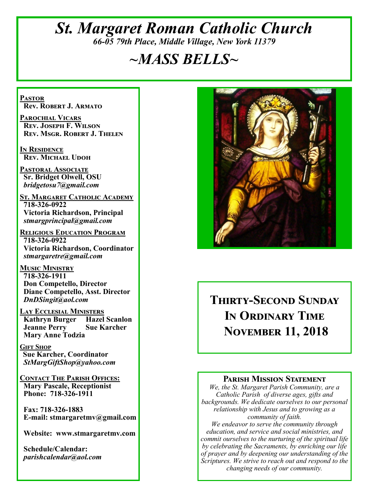## *St. Margaret Roman Catholic Church 66-05 79th Place, Middle Village, New York 11379*

# *~MASS BELLS~*

**Pastor Rev. Robert J. Armato**

**Parochial Vicars Rev. Joseph F. Wilson Rev. Msgr. Robert J. Thelen**

**In Residence Rev. Michael Udoh**

**Pastoral Associate Sr. Bridget Olwell, OSU**  *bridgetosu7@gmail.com*

**St. Margaret Catholic Academy 718-326-0922 Victoria Richardson, Principal**  *stmargprincipal@gmail.com*

**Religious Education Program 718-326-0922 Victoria Richardson, Coordinator** *stmargaretre@gmail.com*

**Music Ministry 718-326-1911 Don Competello, Director Diane Competello, Asst. Director** *DnDSingit@aol.com*

**LAY ECCLESIAL MINISTERS**<br>**Kathryn Burger Hazel Scanlon Kathryn Burger Jeanne Perry Sue Karcher Mary Anne Todzia**

**Gift Shop Sue Karcher, Coordinator** *StMargGiftShop@yahoo.com*

**Contact The Parish Offices: Mary Pascale, Receptionist Phone: 718-326-1911** 

 **Fax: 718-326-1883 E-mail: stmargaretmv@gmail.com**

 **Website: www.stmargaretmv.com**

 **Schedule/Calendar:** *parishcalendar@aol.com* 



**Thirty-Second Sunday In Ordinary Time November 11, 2018** 

#### **Parish Mission Statement**

*We, the St. Margaret Parish Community, are a Catholic Parish of diverse ages, gifts and backgrounds. We dedicate ourselves to our personal relationship with Jesus and to growing as a community of faith.*

*We endeavor to serve the community through education, and service and social ministries, and commit ourselves to the nurturing of the spiritual life by celebrating the Sacraments, by enriching our life of prayer and by deepening our understanding of the Scriptures. We strive to reach out and respond to the changing needs of our community.*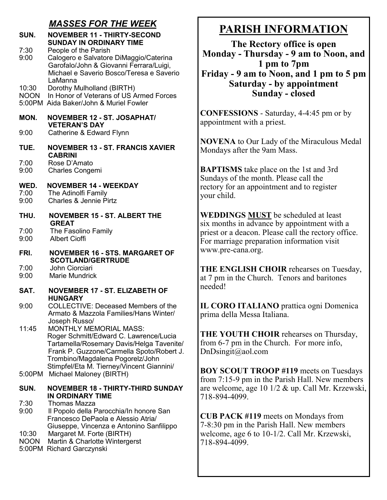### *MASSES FOR THE WEEK*

| SUN.                 | <b>NOVEMBER 11 - THIRTY-SECOND</b><br><b>SUNDAY IN ORDINARY TIME</b>                                                                                                                                                                                                |
|----------------------|---------------------------------------------------------------------------------------------------------------------------------------------------------------------------------------------------------------------------------------------------------------------|
| 7:30<br>9:00         | People of the Parish<br>Calogero e Salvatore DiMaggio/Caterina<br>Garofalo/John & Giovanni Ferrara/Luigi,<br>Michael e Saverio Bosco/Teresa e Saverio<br>LaManna                                                                                                    |
| 10:30                | Dorothy Mulholland (BIRTH)<br>NOON In Honor of Veterans of US Armed Forces<br>5:00PM Aida Baker/John & Muriel Fowler                                                                                                                                                |
| MON.                 | <b>NOVEMBER 12 - ST. JOSAPHAT/</b><br><b>VETERAN'S DAY</b>                                                                                                                                                                                                          |
| 9:00                 | Catherine & Edward Flynn                                                                                                                                                                                                                                            |
| TUE.                 | <b>NOVEMBER 13 - ST. FRANCIS XAVIER</b><br><b>CABRINI</b>                                                                                                                                                                                                           |
| 7:00<br>9:00         | Rose D'Amato<br><b>Charles Congemi</b>                                                                                                                                                                                                                              |
| WED.<br>7:00<br>9:00 | <b>NOVEMBER 14 - WEEKDAY</b><br>The Adinolfi Family<br>Charles & Jennie Pirtz                                                                                                                                                                                       |
| THU.                 | <b>NOVEMBER 15 - ST. ALBERT THE</b><br><b>GREAT</b>                                                                                                                                                                                                                 |
| 7:00<br>9:00         | The Fasolino Family<br><b>Albert Cioffi</b>                                                                                                                                                                                                                         |
| FRI.                 | <b>NOVEMBER 16 - STS. MARGARET OF</b><br><b>SCOTLAND/GERTRUDE</b>                                                                                                                                                                                                   |
| 7:00<br>9:00         | John Ciorciari<br><b>Marie Mundrick</b>                                                                                                                                                                                                                             |
| SAT.                 | <b>NOVEMBER 17 - ST. ELIZABETH OF</b><br><b>HUNGARY</b>                                                                                                                                                                                                             |
| 9:00                 | <b>COLLECTIVE: Deceased Members of the</b><br>Armato & Mazzola Families/Hans Winter/                                                                                                                                                                                |
| 11:45                | Joseph Russo/<br><b>MONTHLY MEMORIAL MASS:</b><br>Roger Schmitt/Edward C. Lawrence/Lucia<br>Tartamella/Rosemary Davis/Helga Tavenite/<br>Frank P. Guzzone/Carmella Spoto/Robert J.<br>Trombino/Magdalena Pogorelz/John<br>Stimpfel/Eta M. Tierney/Vincent Giannini/ |
| 5:00PM               | Michael Maloney (BIRTH)                                                                                                                                                                                                                                             |
| SUN.                 | <b>NOVEMBER 18 - THIRTY-THIRD SUNDAY</b><br>IN ORDINARY TIME                                                                                                                                                                                                        |
| 7:30<br>9:00         | <b>Thomas Mazza</b><br>Il Popolo della Parocchia/In honore San<br>Francesco DePaola e Alessio Atria/<br>Giuseppe, Vincenza e Antonino Sanfilippo                                                                                                                    |
| 10:30<br><b>NOON</b> | Margaret M. Forte (BIRTH)<br>Martin & Charlotte Wintergerst                                                                                                                                                                                                         |

5:00PM Richard Garczynski

# **PARISH INFORMATION**

**The Rectory office is open Monday - Thursday - 9 am to Noon, and 1 pm to 7pm Friday - 9 am to Noon, and 1 pm to 5 pm Saturday - by appointment Sunday - closed**

**CONFESSIONS** - Saturday, 4-4:45 pm or by appointment with a priest.

**NOVENA** to Our Lady of the Miraculous Medal Mondays after the 9am Mass.

**BAPTISMS** take place on the 1st and 3rd Sundays of the month. Please call the rectory for an appointment and to register your child.

**WEDDINGS MUST** be scheduled at least six months in advance by appointment with a priest or a deacon. Please call the rectory office. For marriage preparation information visit www.pre-cana.org.

**THE ENGLISH CHOIR** rehearses on Tuesday, at 7 pm in the Church. Tenors and baritones needed!

**IL CORO ITALIANO** prattica ogni Domenica prima della Messa Italiana.

**THE YOUTH CHOIR** rehearses on Thursday, from 6-7 pm in the Church. For more info, DnDsingit@aol.com

**BOY SCOUT TROOP #119** meets on Tuesdays from 7:15-9 pm in the Parish Hall. New members are welcome, age 10 1/2 & up. Call Mr. Krzewski, 718-894-4099.

**CUB PACK #119** meets on Mondays from 7-8:30 pm in the Parish Hall. New members welcome, age 6 to 10-1/2. Call Mr. Krzewski, 718-894-4099.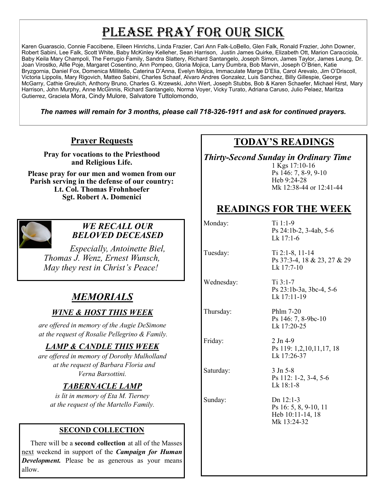# PLEASE PRAY FOR OUR SICK

Karen Guarascio, Connie Faccibene, Eileen Hinrichs, Linda Frazier, Cari Ann Falk-LoBello, Glen Falk, Ronald Frazier, John Downer, Robert Sabini, Lee Falk, Scott White, Baby McKinley Kelleher, Sean Harrison, Justin James Quirke, Elizabeth Ott, Marion Caracciola, Baby Keila Mary Champoli, The Ferrugio Family, Sandra Slattery, Richard Santangelo, Joseph Simon, James Taylor, James Leung, Dr. Joan Virostko, Alfie Poje, Margaret Cosentino, Ann Pompeo, Gloria Mojica, Larry Dumbra, Bob Marvin, Joseph O'Brien, Katie Bryzgornia, Daniel Fox, Domenica Millitello, Caterina D'Anna, Evelyn Mojica, Immaculate Marge D'Elia, Carol Arevalo, Jim O'Driscoll, Victoria Lippolis, Mary Rigovich, Matteo Sabini, Charles Schaaf, Alvaro Andres Gonzalez, Luis Sanchez, Billy Gillespie, George McGarry, Cathie Greulich, Anthony Bruno, Charles G. Krzewski, John Wert, Joseph Stubbs, Bob & Karen Schaefer, Michael Hirst, Mary Harrison, John Murphy, Anne McGinnis, Richard Santangelo, Norma Voyer, Vicky Turato, Adriana Caruso, Julio Pelaez, Maritza Gutierrez, Graciela Mora, Cindy Mulore, Salvatore Tuttolomondo,

*The names will remain for 3 months, please call 718-326-1911 and ask for continued prayers.*

### **Prayer Requests**

**Pray for vocations to the Priesthood and Religious Life.** 

**Please pray for our men and women from our Parish serving in the defense of our country: Lt. Col. Thomas Frohnhoefer Sgt. Robert A. Domenici** 



#### *WE RECALL OUR BELOVED DECEASED*

*Especially, Antoinette Biel, Thomas J. Wenz, Ernest Wunsch, May they rest in Christ's Peace!*

## *MEMORIALS*

### *WINE & HOST THIS WEEK*

*are offered in memory of the Augie DeSimone at the request of Rosalie Pellegrino & Family.*

### *LAMP & CANDLE THIS WEEK*

*are offered in memory of Dorothy Mulholland at the request of Barbara Floria and Verna Barsottini.*

### *TABERNACLE LAMP*

*is lit in memory of Eta M. Tierney at the request of the Martello Family.*

#### **SECOND COLLECTION**

There will be a **second collection** at all of the Masses next weekend in support of the *Campaign for Human Development.* Please be as generous as your means allow.

### **TODAY'S READINGS**

*Thirty-Second Sunday in Ordinary Time*

1 Kgs 17:10-16 Ps 146: 7, 8-9, 9-10 Heb 9:24-28 Mk 12:38-44 or 12:41-44

### **READINGS FOR THE WEEK**

Monday: Ti 1:1-9

Wednesday: Ti 3:1-7

Saturday: 3 Jn 5-8

Ps 24:1b-2, 3-4ab, 5-6 Lk 17:1-6

Tuesday: Ti 2:1-8, 11-14 Ps 37:3-4, 18 & 23, 27 & 29 Lk 17:7-10

> Ps 23:1b-3a, 3bc-4, 5-6 Lk 17:11-19

Thursday: Phlm 7-20 Ps 146: 7, 8-9bc-10 Lk 17:20-25

Friday: 2 Jn 4-9 Ps 119: 1,2,10,11,17, 18 Lk 17:26-37

> Ps 112: 1-2, 3-4, 5-6 Lk 18:1-8

Sunday: Dn 12:1-3 Ps 16: 5, 8, 9-10, 11 Heb 10:11-14, 18 Mk 13:24-32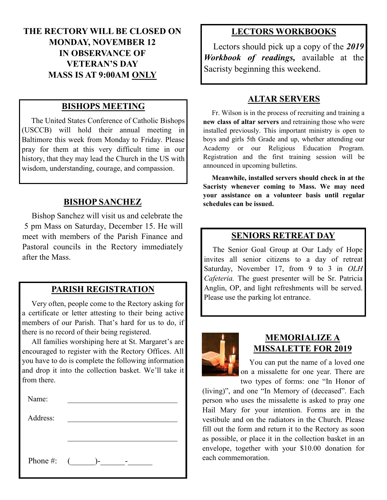### **THE RECTORY WILL BE CLOSED ON MONDAY, NOVEMBER 12 IN OBSERVANCE OF VETERAN'S DAY MASS IS AT 9:00AM ONLY**

#### **BISHOPS MEETING**

 The United States Conference of Catholic Bishops (USCCB) will hold their annual meeting in Baltimore this week from Monday to Friday. Please pray for them at this very difficult time in our history, that they may lead the Church in the US with wisdom, understanding, courage, and compassion.

#### **BISHOP SANCHEZ**

 Bishop Sanchez will visit us and celebrate the 5 pm Mass on Saturday, December 15. He will meet with members of the Parish Finance and Pastoral councils in the Rectory immediately after the Mass.

#### **PARISH REGISTRATION**

 Very often, people come to the Rectory asking for a certificate or letter attesting to their being active members of our Parish. That's hard for us to do, if there is no record of their being registered.

 All families worshiping here at St. Margaret's are encouraged to register with the Rectory Offices. All you have to do is complete the following information and drop it into the collection basket. We'll take it from there.

| Name:        |                |  |
|--------------|----------------|--|
| Address:     |                |  |
|              |                |  |
|              |                |  |
| Phone #: $($ | $\overline{a}$ |  |
|              |                |  |

#### **LECTORS WORKBOOKS**

 Lectors should pick up a copy of the *2019 Workbook of readings,* available at the Sacristy beginning this weekend.

#### **ALTAR SERVERS**

 Fr. Wilson is in the process of recruiting and training a **new class of altar servers** and retraining those who were installed previously. This important ministry is open to boys and girls 5th Grade and up, whether attending our Academy or our Religious Education Program. Registration and the first training session will be announced in upcoming bulletins.

 **Meanwhile, installed servers should check in at the Sacristy whenever coming to Mass. We may need your assistance on a volunteer basis until regular schedules can be issued.** 

#### **SENIORS RETREAT DAY**

 The Senior Goal Group at Our Lady of Hope invites all senior citizens to a day of retreat Saturday, November 17, from 9 to 3 in *OLH Cafeteria.* The guest presenter will be Sr. Patricia Anglin, OP, and light refreshments will be served. Please use the parking lot entrance.



#### **MEMORIALIZE A MISSALETTE FOR 2019**

 You can put the name of a loved one on a missalette for one year. There are

two types of forms: one "In Honor of (living)", and one "In Memory of (deceased". Each person who uses the missalette is asked to pray one Hail Mary for your intention. Forms are in the vestibule and on the radiators in the Church. Please fill out the form and return it to the Rectory as soon as possible, or place it in the collection basket in an envelope, together with your \$10.00 donation for each commemoration.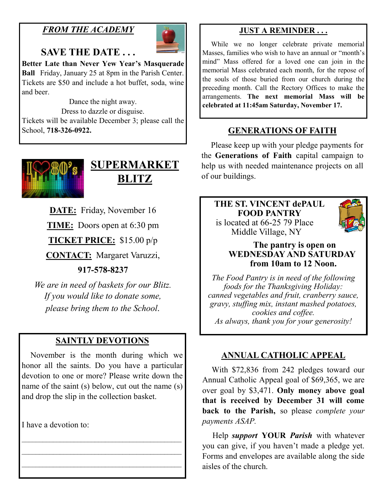### *FROM THE ACADEMY*



### **SAVE THE DATE . . .**

**Better Late than Never Yew Year's Masquerade Ball** Friday, January 25 at 8pm in the Parish Center. Tickets are \$50 and include a hot buffet, soda, wine and beer.

Dance the night away. Dress to dazzle or disguise. Tickets will be available December 3; please call the School, **718-326-0922.**



# **SUPERMARKET BLITZ**

**DATE:** Friday, November 16

**TIME:** Doors open at 6:30 pm

**TICKET PRICE:** \$15.00 p/p

**CONTACT:** Margaret Varuzzi,

### **917-578-8237**

*We are in need of baskets for our Blitz. If you would like to donate some, please bring them to the School.*

### **SAINTLY DEVOTIONS**

 November is the month during which we honor all the saints. Do you have a particular devotion to one or more? Please write down the name of the saint (s) below, cut out the name (s) and drop the slip in the collection basket.

\_\_\_\_\_\_\_\_\_\_\_\_\_\_\_\_\_\_\_\_\_\_\_\_\_\_\_\_\_\_\_\_\_\_\_\_\_\_\_\_\_\_\_\_\_\_  $\mathcal{L}_\text{max}$  and the contract of the contract of the contract of the contract of the contract of the contract of the contract of the contract of the contract of the contract of the contract of the contract of the contrac  $\overline{\phantom{a}}$  , and the set of the set of the set of the set of the set of the set of the set of the set of the set of the set of the set of the set of the set of the set of the set of the set of the set of the set of the s

I have a devotion to:

### **JUST A REMINDER . . .**

 While we no longer celebrate private memorial Masses, families who wish to have an annual or "month's mind" Mass offered for a loved one can join in the memorial Mass celebrated each month, for the repose of the souls of those buried from our church during the preceding month. Call the Rectory Offices to make the arrangements. **The next memorial Mass will be celebrated at 11:45am Saturday, November 17.**

### **GENERATIONS OF FAITH**

 Please keep up with your pledge payments for the **Generations of Faith** capital campaign to help us with needed maintenance projects on all of our buildings.

#### **THE ST. VINCENT dePAUL FOOD PANTRY** is located at 66-25 79 Place Middle Village, NY



### **The pantry is open on WEDNESDAY AND SATURDAY from 10am to 12 Noon.**

*The Food Pantry is in need of the following foods for the Thanksgiving Holiday: canned vegetables and fruit, cranberry sauce, gravy, stuffing mix, instant mashed potatoes, cookies and coffee. As always, thank you for your generosity!*

### **ANNUAL CATHOLIC APPEAL**

 With \$72,836 from 242 pledges toward our Annual Catholic Appeal goal of \$69,365, we are over goal by \$3,471. **Only money above goal that is received by December 31 will come back to the Parish,** so please *complete your payments ASAP.*

 Help *support* **YOUR** *Parish* with whatever you can give, if you haven't made a pledge yet. Forms and envelopes are available along the side aisles of the church.